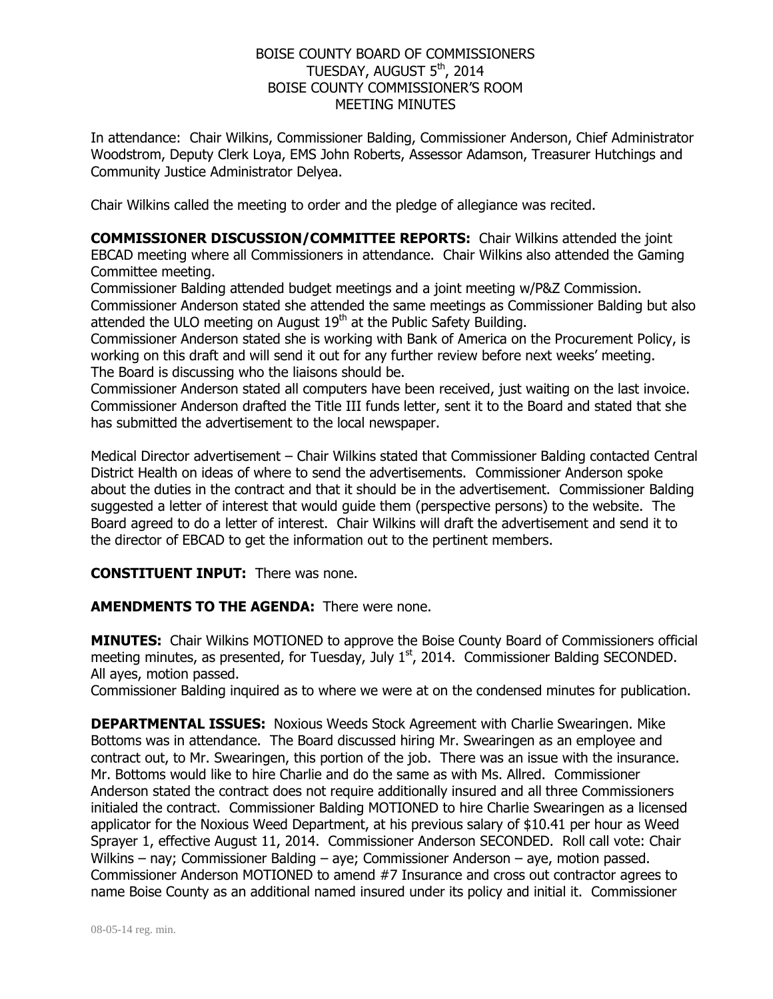## BOISE COUNTY BOARD OF COMMISSIONERS TUESDAY, AUGUST 5<sup>th</sup>, 2014 BOISE COUNTY COMMISSIONER'S ROOM MEETING MINUTES

In attendance: Chair Wilkins, Commissioner Balding, Commissioner Anderson, Chief Administrator Woodstrom, Deputy Clerk Loya, EMS John Roberts, Assessor Adamson, Treasurer Hutchings and Community Justice Administrator Delyea.

Chair Wilkins called the meeting to order and the pledge of allegiance was recited.

**COMMISSIONER DISCUSSION/COMMITTEE REPORTS:** Chair Wilkins attended the joint EBCAD meeting where all Commissioners in attendance. Chair Wilkins also attended the Gaming Committee meeting.

Commissioner Balding attended budget meetings and a joint meeting w/P&Z Commission. Commissioner Anderson stated she attended the same meetings as Commissioner Balding but also attended the ULO meeting on August  $19<sup>th</sup>$  at the Public Safety Building.

Commissioner Anderson stated she is working with Bank of America on the Procurement Policy, is working on this draft and will send it out for any further review before next weeks' meeting. The Board is discussing who the liaisons should be.

Commissioner Anderson stated all computers have been received, just waiting on the last invoice. Commissioner Anderson drafted the Title III funds letter, sent it to the Board and stated that she has submitted the advertisement to the local newspaper.

Medical Director advertisement – Chair Wilkins stated that Commissioner Balding contacted Central District Health on ideas of where to send the advertisements. Commissioner Anderson spoke about the duties in the contract and that it should be in the advertisement. Commissioner Balding suggested a letter of interest that would guide them (perspective persons) to the website. The Board agreed to do a letter of interest. Chair Wilkins will draft the advertisement and send it to the director of EBCAD to get the information out to the pertinent members.

## **CONSTITUENT INPUT:** There was none.

**AMENDMENTS TO THE AGENDA:** There were none.

**MINUTES:** Chair Wilkins MOTIONED to approve the Boise County Board of Commissioners official meeting minutes, as presented, for Tuesday, July  $1<sup>st</sup>$ , 2014. Commissioner Balding SECONDED. All ayes, motion passed.

Commissioner Balding inquired as to where we were at on the condensed minutes for publication.

**DEPARTMENTAL ISSUES:** Noxious Weeds Stock Agreement with Charlie Swearingen. Mike Bottoms was in attendance. The Board discussed hiring Mr. Swearingen as an employee and contract out, to Mr. Swearingen, this portion of the job. There was an issue with the insurance. Mr. Bottoms would like to hire Charlie and do the same as with Ms. Allred. Commissioner Anderson stated the contract does not require additionally insured and all three Commissioners initialed the contract. Commissioner Balding MOTIONED to hire Charlie Swearingen as a licensed applicator for the Noxious Weed Department, at his previous salary of \$10.41 per hour as Weed Sprayer 1, effective August 11, 2014. Commissioner Anderson SECONDED. Roll call vote: Chair Wilkins – nay; Commissioner Balding – aye; Commissioner Anderson – aye, motion passed. Commissioner Anderson MOTIONED to amend #7 Insurance and cross out contractor agrees to name Boise County as an additional named insured under its policy and initial it. Commissioner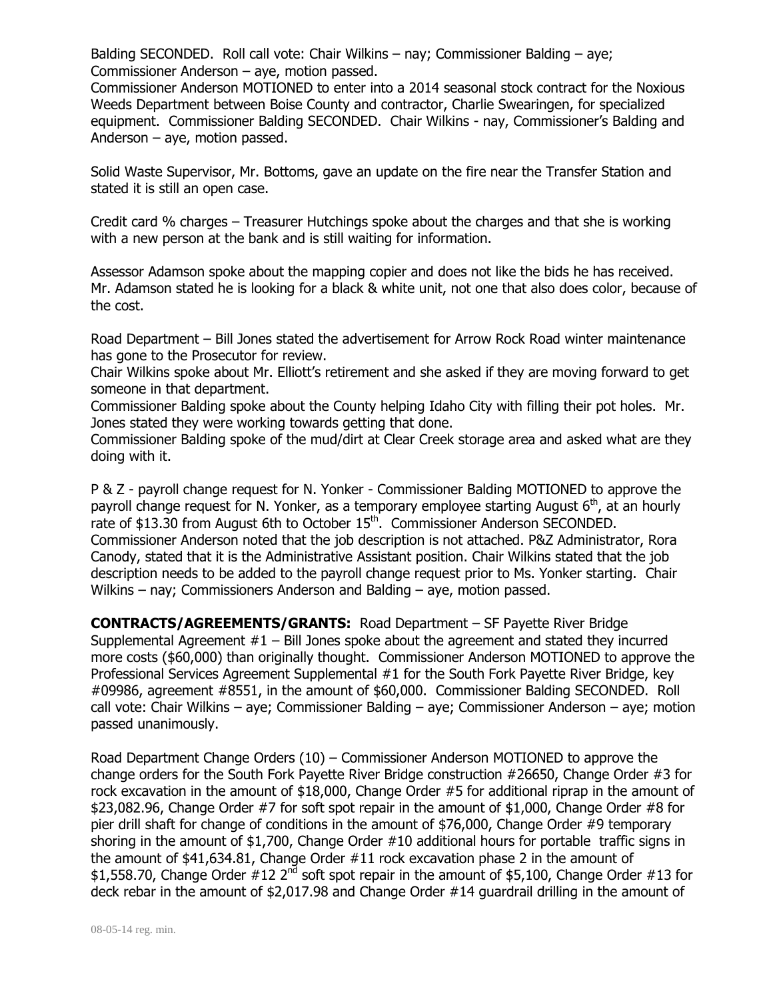Balding SECONDED. Roll call vote: Chair Wilkins – nay; Commissioner Balding – aye; Commissioner Anderson – aye, motion passed.

Commissioner Anderson MOTIONED to enter into a 2014 seasonal stock contract for the Noxious Weeds Department between Boise County and contractor, Charlie Swearingen, for specialized equipment. Commissioner Balding SECONDED. Chair Wilkins - nay, Commissioner's Balding and Anderson – aye, motion passed.

Solid Waste Supervisor, Mr. Bottoms, gave an update on the fire near the Transfer Station and stated it is still an open case.

Credit card % charges – Treasurer Hutchings spoke about the charges and that she is working with a new person at the bank and is still waiting for information.

Assessor Adamson spoke about the mapping copier and does not like the bids he has received. Mr. Adamson stated he is looking for a black & white unit, not one that also does color, because of the cost.

Road Department – Bill Jones stated the advertisement for Arrow Rock Road winter maintenance has gone to the Prosecutor for review.

Chair Wilkins spoke about Mr. Elliott's retirement and she asked if they are moving forward to get someone in that department.

Commissioner Balding spoke about the County helping Idaho City with filling their pot holes. Mr. Jones stated they were working towards getting that done.

Commissioner Balding spoke of the mud/dirt at Clear Creek storage area and asked what are they doing with it.

P & Z - payroll change request for N. Yonker - Commissioner Balding MOTIONED to approve the payroll change request for N. Yonker, as a temporary employee starting August  $6<sup>th</sup>$ , at an hourly rate of \$13.30 from August 6th to October  $15<sup>th</sup>$ . Commissioner Anderson SECONDED. Commissioner Anderson noted that the job description is not attached. P&Z Administrator, Rora Canody, stated that it is the Administrative Assistant position. Chair Wilkins stated that the job description needs to be added to the payroll change request prior to Ms. Yonker starting. Chair Wilkins – nay; Commissioners Anderson and Balding – aye, motion passed.

**CONTRACTS/AGREEMENTS/GRANTS:** Road Department – SF Payette River Bridge Supplemental Agreement  $#1 -$  Bill Jones spoke about the agreement and stated they incurred more costs (\$60,000) than originally thought. Commissioner Anderson MOTIONED to approve the Professional Services Agreement Supplemental #1 for the South Fork Payette River Bridge, key #09986, agreement #8551, in the amount of \$60,000. Commissioner Balding SECONDED. Roll call vote: Chair Wilkins – aye; Commissioner Balding – aye; Commissioner Anderson – aye; motion passed unanimously.

Road Department Change Orders (10) – Commissioner Anderson MOTIONED to approve the change orders for the South Fork Payette River Bridge construction #26650, Change Order #3 for rock excavation in the amount of \$18,000, Change Order #5 for additional riprap in the amount of \$23,082.96, Change Order #7 for soft spot repair in the amount of \$1,000, Change Order #8 for pier drill shaft for change of conditions in the amount of \$76,000, Change Order #9 temporary shoring in the amount of \$1,700, Change Order #10 additional hours for portable traffic signs in the amount of \$41,634.81, Change Order #11 rock excavation phase 2 in the amount of \$1,558.70, Change Order  $#12$   $2<sup>nd</sup>$  soft spot repair in the amount of \$5,100, Change Order  $#13$  for deck rebar in the amount of \$2,017.98 and Change Order #14 guardrail drilling in the amount of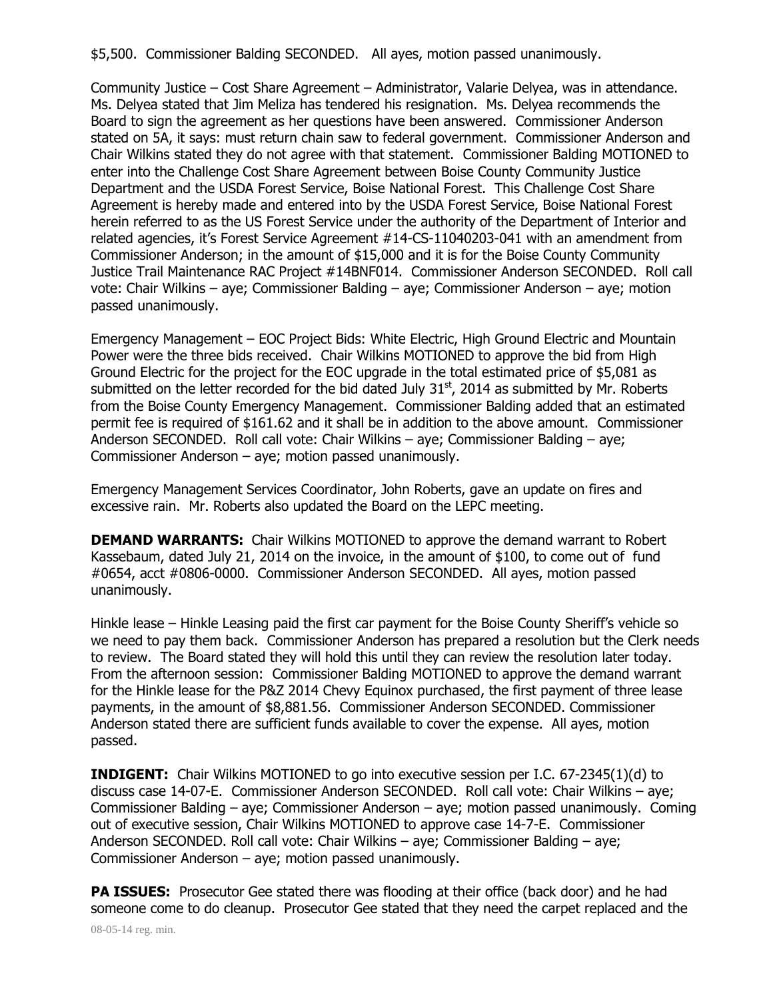\$5,500. Commissioner Balding SECONDED. All ayes, motion passed unanimously.

Community Justice – Cost Share Agreement – Administrator, Valarie Delyea, was in attendance. Ms. Delyea stated that Jim Meliza has tendered his resignation. Ms. Delyea recommends the Board to sign the agreement as her questions have been answered. Commissioner Anderson stated on 5A, it says: must return chain saw to federal government. Commissioner Anderson and Chair Wilkins stated they do not agree with that statement. Commissioner Balding MOTIONED to enter into the Challenge Cost Share Agreement between Boise County Community Justice Department and the USDA Forest Service, Boise National Forest. This Challenge Cost Share Agreement is hereby made and entered into by the USDA Forest Service, Boise National Forest herein referred to as the US Forest Service under the authority of the Department of Interior and related agencies, it's Forest Service Agreement #14-CS-11040203-041 with an amendment from Commissioner Anderson; in the amount of \$15,000 and it is for the Boise County Community Justice Trail Maintenance RAC Project #14BNF014. Commissioner Anderson SECONDED. Roll call vote: Chair Wilkins – aye; Commissioner Balding – aye; Commissioner Anderson – aye; motion passed unanimously.

Emergency Management – EOC Project Bids: White Electric, High Ground Electric and Mountain Power were the three bids received. Chair Wilkins MOTIONED to approve the bid from High Ground Electric for the project for the EOC upgrade in the total estimated price of \$5,081 as submitted on the letter recorded for the bid dated July  $31<sup>st</sup>$ , 2014 as submitted by Mr. Roberts from the Boise County Emergency Management. Commissioner Balding added that an estimated permit fee is required of \$161.62 and it shall be in addition to the above amount. Commissioner Anderson SECONDED. Roll call vote: Chair Wilkins – aye; Commissioner Balding – aye; Commissioner Anderson – aye; motion passed unanimously.

Emergency Management Services Coordinator, John Roberts, gave an update on fires and excessive rain. Mr. Roberts also updated the Board on the LEPC meeting.

**DEMAND WARRANTS:** Chair Wilkins MOTIONED to approve the demand warrant to Robert Kassebaum, dated July 21, 2014 on the invoice, in the amount of \$100, to come out of fund #0654, acct #0806-0000. Commissioner Anderson SECONDED. All ayes, motion passed unanimously.

Hinkle lease – Hinkle Leasing paid the first car payment for the Boise County Sheriff's vehicle so we need to pay them back. Commissioner Anderson has prepared a resolution but the Clerk needs to review. The Board stated they will hold this until they can review the resolution later today. From the afternoon session: Commissioner Balding MOTIONED to approve the demand warrant for the Hinkle lease for the P&Z 2014 Chevy Equinox purchased, the first payment of three lease payments, in the amount of \$8,881.56. Commissioner Anderson SECONDED. Commissioner Anderson stated there are sufficient funds available to cover the expense. All ayes, motion passed.

**INDIGENT:** Chair Wilkins MOTIONED to go into executive session per I.C. 67-2345(1)(d) to discuss case 14-07-E. Commissioner Anderson SECONDED. Roll call vote: Chair Wilkins – aye; Commissioner Balding – aye; Commissioner Anderson – aye; motion passed unanimously. Coming out of executive session, Chair Wilkins MOTIONED to approve case 14-7-E. Commissioner Anderson SECONDED. Roll call vote: Chair Wilkins – aye; Commissioner Balding – aye; Commissioner Anderson – aye; motion passed unanimously.

**PA ISSUES:** Prosecutor Gee stated there was flooding at their office (back door) and he had someone come to do cleanup. Prosecutor Gee stated that they need the carpet replaced and the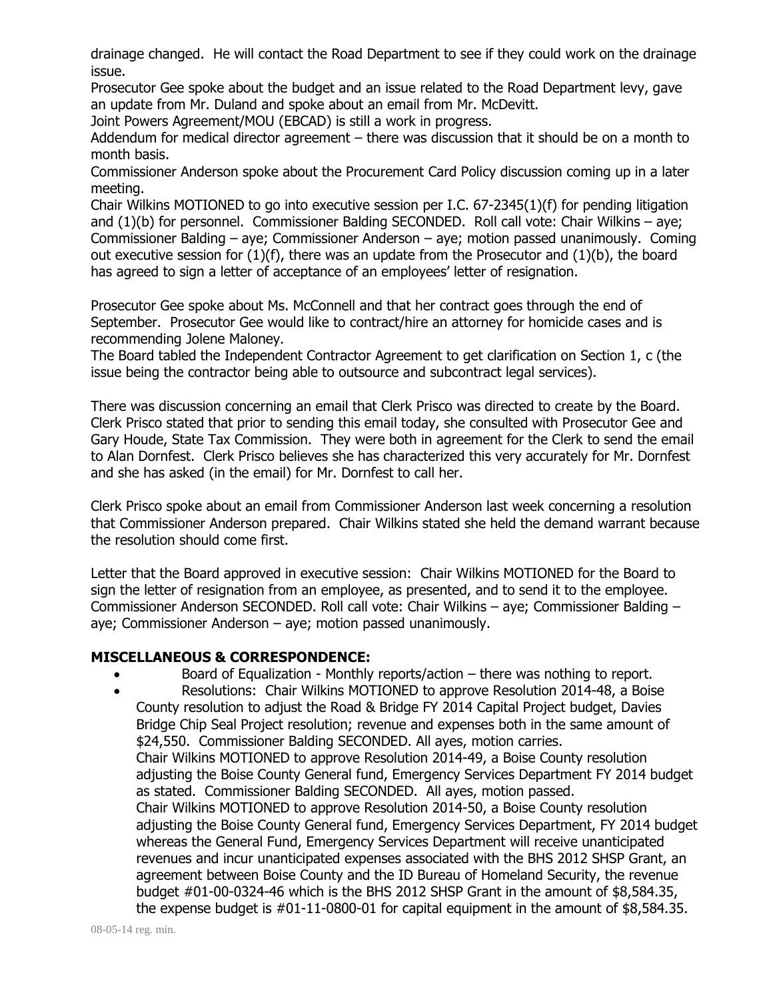drainage changed. He will contact the Road Department to see if they could work on the drainage issue.

Prosecutor Gee spoke about the budget and an issue related to the Road Department levy, gave an update from Mr. Duland and spoke about an email from Mr. McDevitt.

Joint Powers Agreement/MOU (EBCAD) is still a work in progress.

Addendum for medical director agreement – there was discussion that it should be on a month to month basis.

Commissioner Anderson spoke about the Procurement Card Policy discussion coming up in a later meeting.

Chair Wilkins MOTIONED to go into executive session per I.C. 67-2345(1)(f) for pending litigation and (1)(b) for personnel. Commissioner Balding SECONDED. Roll call vote: Chair Wilkins – aye; Commissioner Balding – aye; Commissioner Anderson – aye; motion passed unanimously. Coming out executive session for  $(1)(f)$ , there was an update from the Prosecutor and  $(1)(b)$ , the board has agreed to sign a letter of acceptance of an employees' letter of resignation.

Prosecutor Gee spoke about Ms. McConnell and that her contract goes through the end of September. Prosecutor Gee would like to contract/hire an attorney for homicide cases and is recommending Jolene Maloney.

The Board tabled the Independent Contractor Agreement to get clarification on Section 1, c (the issue being the contractor being able to outsource and subcontract legal services).

There was discussion concerning an email that Clerk Prisco was directed to create by the Board. Clerk Prisco stated that prior to sending this email today, she consulted with Prosecutor Gee and Gary Houde, State Tax Commission. They were both in agreement for the Clerk to send the email to Alan Dornfest. Clerk Prisco believes she has characterized this very accurately for Mr. Dornfest and she has asked (in the email) for Mr. Dornfest to call her.

Clerk Prisco spoke about an email from Commissioner Anderson last week concerning a resolution that Commissioner Anderson prepared. Chair Wilkins stated she held the demand warrant because the resolution should come first.

Letter that the Board approved in executive session: Chair Wilkins MOTIONED for the Board to sign the letter of resignation from an employee, as presented, and to send it to the employee. Commissioner Anderson SECONDED. Roll call vote: Chair Wilkins – aye; Commissioner Balding – aye; Commissioner Anderson – aye; motion passed unanimously.

## **MISCELLANEOUS & CORRESPONDENCE:**

- Board of Equalization Monthly reports/action there was nothing to report.
- Resolutions: Chair Wilkins MOTIONED to approve Resolution 2014-48, a Boise County resolution to adjust the Road & Bridge FY 2014 Capital Project budget, Davies Bridge Chip Seal Project resolution; revenue and expenses both in the same amount of \$24,550. Commissioner Balding SECONDED. All ayes, motion carries. Chair Wilkins MOTIONED to approve Resolution 2014-49, a Boise County resolution adjusting the Boise County General fund, Emergency Services Department FY 2014 budget as stated. Commissioner Balding SECONDED. All ayes, motion passed. Chair Wilkins MOTIONED to approve Resolution 2014-50, a Boise County resolution adjusting the Boise County General fund, Emergency Services Department, FY 2014 budget whereas the General Fund, Emergency Services Department will receive unanticipated revenues and incur unanticipated expenses associated with the BHS 2012 SHSP Grant, an agreement between Boise County and the ID Bureau of Homeland Security, the revenue budget #01-00-0324-46 which is the BHS 2012 SHSP Grant in the amount of \$8,584.35, the expense budget is #01-11-0800-01 for capital equipment in the amount of \$8,584.35.